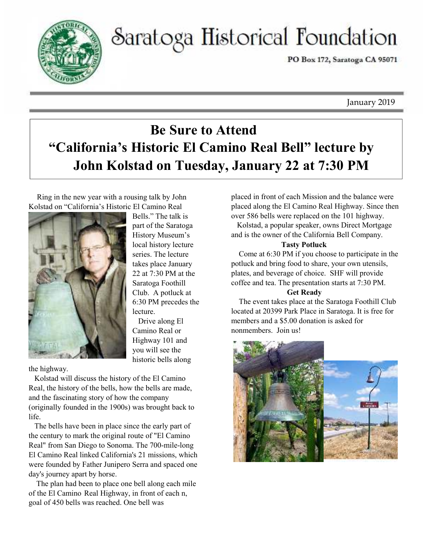

# Saratoga Historical Foundation

PO Box 172, Saratoga CA 95071

January 2019

# **Be Sure to Attend "California's Historic El Camino Real Bell" lecture by John Kolstad on Tuesday, January 22 at 7:30 PM**

Ring in the new year with a rousing talk by John Kolstad on "California's Historic El Camino Real



Bells." The talk is part of the Saratoga History Museum's local history lecture series. The lecture takes place January 22 at 7:30 PM at the Saratoga Foothill Club. A potluck at 6:30 PM precedes the lecture.

 Drive along El Camino Real or Highway 101 and you will see the historic bells along

the highway.

 Kolstad will discuss the history of the El Camino Real, the history of the bells, how the bells are made, and the fascinating story of how the company (originally founded in the 1900s) was brought back to life.

 The bells have been in place since the early part of the century to mark the original route of "El Camino Real" from San Diego to Sonoma. The 700-mile-long El Camino Real linked California's 21 missions, which were founded by Father Junipero Serra and spaced one day's journey apart by horse.

 The plan had been to place one bell along each mile of the El Camino Real Highway, in front of each n, goal of 450 bells was reached. One bell was

placed in front of each Mission and the balance were placed along the El Camino Real Highway. Since then over 586 bells were replaced on the 101 highway.

 Kolstad, a popular speaker, owns Direct Mortgage and is the owner of the California Bell Company.

### **Tasty Potluck**

 Come at 6:30 PM if you choose to participate in the potluck and bring food to share, your own utensils, plates, and beverage of choice. SHF will provide coffee and tea. The presentation starts at 7:30 PM.

### **Get Ready**

 The event takes place at the Saratoga Foothill Club located at 20399 Park Place in Saratoga. It is free for members and a \$5.00 donation is asked for nonmembers. Join us!

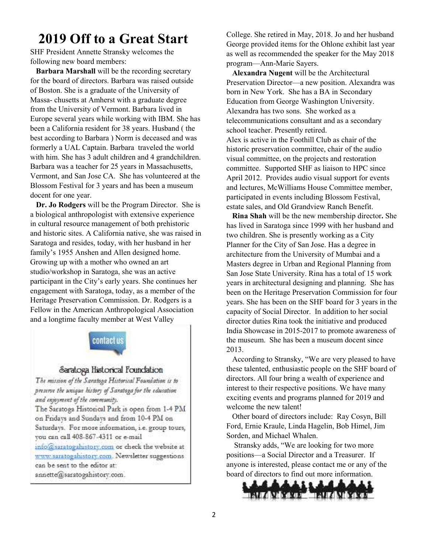### **2019 Off to a Great Start**

SHF President Annette Stransky welcomes the following new board members:

 **Barbara Marshall** will be the recording secretary for the board of directors. Barbara was raised outside of Boston. She is a graduate of the University of Massa- chusetts at Amherst with a graduate degree from the University of Vermont. Barbara lived in Europe several years while working with IBM. She has been a California resident for 38 years. Husband ( the best according to Barbara ) Norm is deceased and was formerly a UAL Captain. Barbara traveled the world with him. She has 3 adult children and 4 grandchildren. Barbara was a teacher for 25 years in Massachusetts, Vermont, and San Jose CA. She has volunteered at the Blossom Festival for 3 years and has been a museum docent for one year.

 **Dr. Jo Rodgers** will be the Program Director. She is a biological anthropologist with extensive experience in cultural resource management of both prehistoric and historic sites. A California native, she was raised in Saratoga and resides, today, with her husband in her family's 1955 Anshen and Allen designed home. Growing up with a mother who owned an art studio/workshop in Saratoga, she was an active participant in the City's early years. She continues her engagement with Saratoga, today, as a member of the Heritage Preservation Commission. Dr. Rodgers is a Fellow in the American Anthropological Association and a longtime faculty member at West Valley



#### Saratoga Historical Foundation

The mission of the Saratoga Historical Foundation is to preserve the unique history of Saratoga for the education and enjoyment of the community.

The Saratoga Historical Park is open from 1-4 PM on Fridays and Sundays and from 10-4 PM on Saturdays. For more information, i.e. group tours, you can call 408-867-4311 or e-mail

info@saratogahistory.com or check the website at www.saratogahistory.com. Newsletter suggestions can be sent to the editor at:

annette@saratogahistory.com.

College. She retired in May, 2018. Jo and her husband George provided items for the Ohlone exhibit last year as well as recommended the speaker for the May 2018 program—Ann-Marie Sayers.

 **Alexandra Nugent** will be the Architectural Preservation Director—a new position. Alexandra was born in New York. She has a BA in Secondary Education from George Washington University. Alexandra has two sons. She worked as a telecommunications consultant and as a secondary school teacher. Presently retired. Alex is active in the Foothill Club as chair of the historic preservation committee, chair of the audio visual committee, on the projects and restoration committee. Supported SHF as liaison to HPC since April 2012. Provides audio visual support for events and lectures, McWilliams House Committee member, participated in events including Blossom Festival, estate sales, and Old Grandview Ranch Benefit.

 **Rina Shah** will be the new membership director**.** She has lived in Saratoga since 1999 with her husband and two children. She is presently working as a City Planner for the City of San Jose. Has a degree in architecture from the University of Mumbai and a Masters degree in Urban and Regional Planning from San Jose State University. Rina has a total of 15 work years in architectural designing and planning. She has been on the Heritage Preservation Commission for four years. She has been on the SHF board for 3 years in the capacity of Social Director. In addition to her social director duties Rina took the initiative and produced India Showcase in 2015-2017 to promote awareness of the museum. She has been a museum docent since 2013.

 According to Stransky, "We are very pleased to have these talented, enthusiastic people on the SHF board of directors. All four bring a wealth of experience and interest to their respective positions. We have many exciting events and programs planned for 2019 and welcome the new talent!

 Other board of directors include: Ray Cosyn, Bill Ford, Ernie Kraule, Linda Hagelin, Bob Himel, Jim Sorden, and Michael Whalen.

 Stransky adds, "We are looking for two more positions—a Social Director and a Treasurer. If anyone is interested, please contact me or any of the board of directors to find out more information.

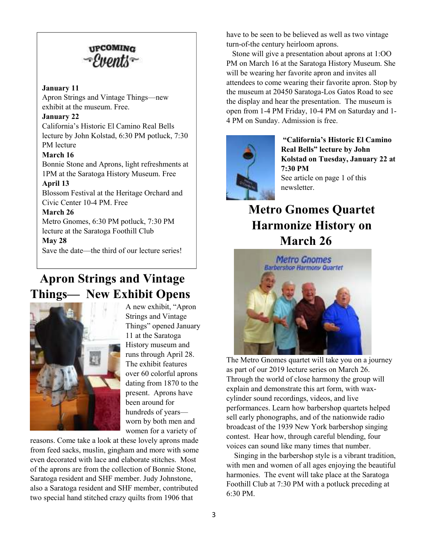

#### **January 11**

Apron Strings and Vintage Things—new exhibit at the museum. Free.

### **January 22**

California's Historic El Camino Real Bells lecture by John Kolstad, 6:30 PM potluck, 7:30 PM lecture

### **March 16**

Bonnie Stone and Aprons, light refreshments at 1PM at the Saratoga History Museum. Free

#### **April 13**

Blossom Festival at the Heritage Orchard and Civic Center 10-4 PM. Free

### **March 26**

Metro Gnomes, 6:30 PM potluck, 7:30 PM lecture at the Saratoga Foothill Club

### **May 28**

Save the date—the third of our lecture series!

### **Apron Strings and Vintage Things— New Exhibit Opens**



A new exhibit, "Apron Strings and Vintage Things" opened January 11 at the Saratoga History museum and runs through April 28. The exhibit features over 60 colorful aprons dating from 1870 to the present. Aprons have been around for hundreds of years worn by both men and women for a variety of

reasons. Come take a look at these lovely aprons made from feed sacks, muslin, gingham and more with some even decorated with lace and elaborate stitches. Most of the aprons are from the collection of Bonnie Stone, Saratoga resident and SHF member. Judy Johnstone, also a Saratoga resident and SHF member, contributed two special hand stitched crazy quilts from 1906 that

have to be seen to be believed as well as two vintage turn-of-the century heirloom aprons.

 Stone will give a presentation about aprons at 1:OO PM on March 16 at the Saratoga History Museum. She will be wearing her favorite apron and invites all attendees to come wearing their favorite apron. Stop by the museum at 20450 Saratoga-Los Gatos Road to see the display and hear the presentation. The museum is open from 1-4 PM Friday, 10-4 PM on Saturday and 1- 4 PM on Sunday. Admission is free.



 **"California's Historic El Camino Real Bells" lecture by John Kolstad on Tuesday, January 22 at 7:30 PM**  See article on page 1 of this newsletter.

### **Metro Gnomes Quartet Harmonize History on March 26**



The Metro Gnomes quartet will take you on a journey as part of our 2019 lecture series on March 26. Through the world of close harmony the group will explain and demonstrate this art form, with waxcylinder sound recordings, videos, and live performances. Learn how barbershop quartets helped sell early phonographs, and of the nationwide radio broadcast of the 1939 New York barbershop singing contest. Hear how, through careful blending, four voices can sound like many times that number.

 Singing in the barbershop style is a vibrant tradition, with men and women of all ages enjoying the beautiful harmonies. The event will take place at the Saratoga Foothill Club at 7:30 PM with a potluck preceding at 6:30 PM.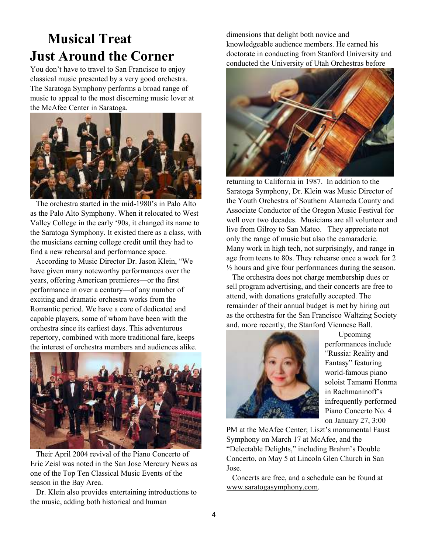# **Musical Treat Just Around the Corner**

You don't have to travel to San Francisco to enjoy classical music presented by a very good orchestra. The Saratoga Symphony performs a broad range of music to appeal to the most discerning music lover at the McAfee Center in Saratoga.



 The orchestra started in the mid-1980's in Palo Alto as the Palo Alto Symphony. When it relocated to West Valley College in the early '90s, it changed its name to the Saratoga Symphony. It existed there as a class, with the musicians earning college credit until they had to find a new rehearsal and performance space.

 According to Music Director Dr. Jason Klein, "We have given many noteworthy performances over the years, offering American premieres—or the first performance in over a century—of any number of exciting and dramatic orchestra works from the Romantic period. We have a core of dedicated and capable players, some of whom have been with the orchestra since its earliest days. This adventurous repertory, combined with more traditional fare, keeps the interest of orchestra members and audiences alike.



 Their April 2004 revival of the Piano Concerto of Eric Zeisl was noted in the San Jose Mercury News as one of the Top Ten Classical Music Events of the season in the Bay Area.

 Dr. Klein also provides entertaining introductions to the music, adding both historical and human

dimensions that delight both novice and knowledgeable audience members. He earned his doctorate in conducting from Stanford University and conducted the University of Utah Orchestras before



returning to California in 1987. In addition to the Saratoga Symphony, Dr. Klein was Music Director of the Youth Orchestra of Southern Alameda County and Associate Conductor of the Oregon Music Festival for well over two decades. Musicians are all volunteer and live from Gilroy to San Mateo. They appreciate not only the range of music but also the camaraderie. Many work in high tech, not surprisingly, and range in age from teens to 80s. They rehearse once a week for 2  $\frac{1}{2}$  hours and give four performances during the season.

 The orchestra does not charge membership dues or sell program advertising, and their concerts are free to attend, with donations gratefully accepted. The remainder of their annual budget is met by hiring out as the orchestra for the San Francisco Waltzing Society and, more recently, the Stanford Viennese Ball.



 Upcoming performances include "Russia: Reality and Fantasy" featuring world-famous piano soloist Tamami Honma in Rachmaninoff's infrequently performed Piano Concerto No. 4 on January 27, 3:00

PM at the McAfee Center; Liszt's monumental Faust Symphony on March 17 at McAfee, and the "Delectable Delights," including Brahm's Double Concerto, on May 5 at Lincoln Glen Church in San Jose.

 Concerts are free, and a schedule can be found at www.saratogasymphony.com.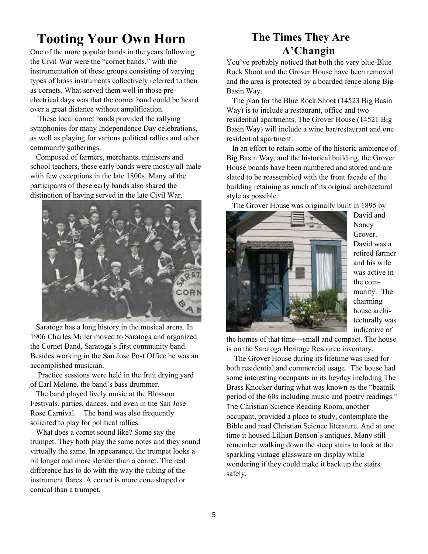# **Tooting Your Own Horn**

One of the more popular bands in the years following the Civil War were the "cornet bands," with the instrumentation of these groups consisting of varying types of brass instruments collectively referred to then as cornets. What served them well in those preelectrical days was that the cornet band could be heard over a great distance without amplification.

 These local cornet bands provided the rallying symphonies for many Independence Day celebrations, as well as playing for various political rallies and other community gatherings.

 Composed of farmers, merchants, ministers and school teachers, these early bands were mostly all-male with few exceptions in the late 1800s. Many of the participants of these early bands also shared the distinction of having served in the late Civil War.



 Saratoga has a long history in the musical arena. In 1906 Charles Miller moved to Saratoga and organized the Cornet Band, Saratoga's first community band. Besides working in the San Jose Post Office he was an accomplished musician.

 Practice sessions were held in the fruit drying yard of Earl Melone, the band's bass drummer.

 The band played lively music at the Blossom Festivals, parties, dances, and even in the San Jose Rose Carnival. The band was also frequently solicited to play for political rallies.

 What does a cornet sound like? Some say the trumpet. They both play the same notes and they sound virtually the same. In appearance, the trumpet looks a bit longer and more slender than a cornet. The real difference has to do with the way the tubing of the instrument flares. A cornet is more cone shaped or conical than a trumpet.

### **The Times They Are A'Changin**

You've probably noticed that both the very blue-Blue Rock Shoot and the Grover House have been removed and the area is protected by a boarded fence along Big Basin Way.

 The plan for the Blue Rock Shoot (14523 Big Basin Way) is to include a restaurant, office and two residential apartments. The Grover House (14521 Big Basin Way) will include a wine bar/restaurant and one residential apartment.

 In an effort to retain some of the historic ambience of Big Basin Way, and the historical building, the Grover House boards have been numbered and stored and are slated to be reassembled with the front façade of the building retaining as much of its original architectural style as possible.

The Grover House was originally built in 1895 by



David and **Nancy** Grover. David was a retired farmer and his wife was active in the community. The charming house architecturally was indicative of

the homes of that time—small and compact. The house is on the Saratoga Heritage Resource inventory.

 The Grover House during its lifetime was used for both residential and commercial usage. The house had some interesting occupants in its heyday including The Brass Knocker during what was known as the "beatnik period of the 60s including music and poetry readings." The Christian Science Reading Room, another occupant, provided a place to study, contemplate the Bible and read Christian Science literature. And at one time it housed Lillian Benson's antiques. Many still remember walking down the steep stairs to look at the sparkling vintage glassware on display while wondering if they could make it back up the stairs safely.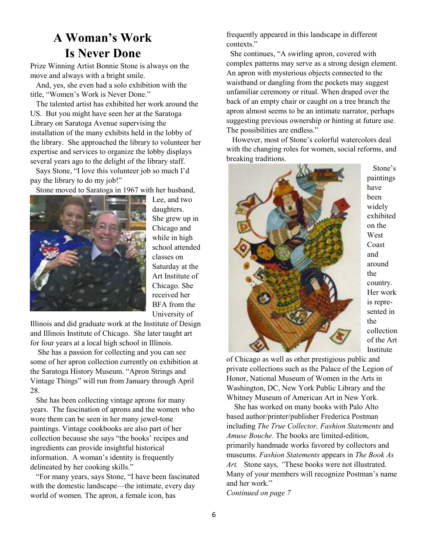### **A Woman's Work Is Never Done**

Prize Winning Artist Bonnie Stone is always on the move and always with a bright smile.

 And, yes, she even had a solo exhibition with the title, "Women's Work is Never Done."

 The talented artist has exhibited her work around the US. But you might have seen her at the Saratoga Library on Saratoga Avenue supervising the installation of the many exhibits held in the lobby of the library. She approached the library to volunteer her expertise and services to organize the lobby displays several years ago to the delight of the library staff.

 Says Stone, "I love this volunteer job so much I'd pay the library to do my job!"

Stone moved to Saratoga in 1967 with her husband,



Lee, and two daughters. She grew up in Chicago and while in high school attended classes on Saturday at the Art Institute of Chicago. She received her BFA from the University of

Illinois and did graduate work at the Institute of Design and Illinois Institute of Chicago. She later taught art for four years at a local high school in Illinois.

 She has a passion for collecting and you can see some of her apron collection currently on exhibition at the Saratoga History Museum. "Apron Strings and Vintage Things" will run from January through April 28.

 She has been collecting vintage aprons for many years. The fascination of aprons and the women who wore them can be seen in her many jewel-tone paintings. Vintage cookbooks are also part of her collection because she says "the books' recipes and ingredients can provide insightful historical information. A woman's identity is frequently delineated by her cooking skills."

 "For many years, says Stone, "I have been fascinated with the domestic landscape—the intimate, every day world of women. The apron, a female icon, has

frequently appeared in this landscape in different contexts."

 She continues, "A swirling apron, covered with complex patterns may serve as a strong design element. An apron with mysterious objects connected to the waistband or dangling from the pockets may suggest unfamiliar ceremony or ritual. When draped over the back of an empty chair or caught on a tree branch the apron almost seems to be an intimate narrator, perhaps suggesting previous ownership or hinting at future use. The possibilities are endless."

 However, most of Stone's colorful watercolors deal with the changing roles for women, social reforms, and breaking traditions.



 Stone's paintings widely exhibited on the West Coast around country. Her work is represented in collection of the Art Institute

of Chicago as well as other prestigious public and private collections such as the Palace of the Legion of Honor, National Museum of Women in the Arts in Washington, DC, New York Public Library and the Whitney Museum of American Art in New York.

 She has worked on many books with Palo Alto based author/printer/publisher Frederica Postman including *The True Collector, Fashion Statements* and *Amuse Bouche.* The books are limited-edition, primarily handmade works favored by collectors and museums. *Fashion Statements* appears in *The Book As Art.* Stone says*, "*These books were not illustrated. Many of your members will recognize Postman's name and her work." *Continued on page 7*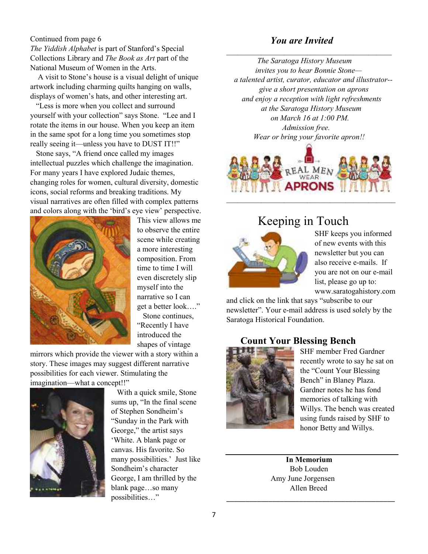### Continued from page 6

*The Yiddish Alphabet* is part of Stanford's Special Collections Library and *The Book as Art* part of the National Museum of Women in the Arts.

 A visit to Stone's house is a visual delight of unique artwork including charming quilts hanging on walls, displays of women's hats, and other interesting art.

 "Less is more when you collect and surround yourself with your collection" says Stone. "Lee and I rotate the items in our house. When you keep an item in the same spot for a long time you sometimes stop really seeing it—unless you have to DUST IT!!"

 Stone says, "A friend once called my images intellectual puzzles which challenge the imagination. For many years I have explored Judaic themes, changing roles for women, cultural diversity, domestic icons, social reforms and breaking traditions. My visual narratives are often filled with complex patterns and colors along with the 'bird's eye view' perspective.



This view allows me to observe the entire scene while creating a more interesting composition. From time to time I will even discretely slip myself into the narrative so I can get a better look…." Stone continues,

"Recently I have introduced the shapes of vintage

mirrors which provide the viewer with a story within a story. These images may suggest different narrative possibilities for each viewer. Stimulating the imagination—what a concept!!"



 With a quick smile, Stone sums up, "In the final scene of Stephen Sondheim's "Sunday in the Park with George," the artist says 'White. A blank page or canvas. His favorite. So many possibilities.' Just like Sondheim's character George, I am thrilled by the blank page…so many possibilities…"

### *You are Invited*

\_\_\_\_\_\_\_\_\_\_\_\_\_\_\_\_\_\_\_\_\_\_\_\_\_\_\_\_\_\_\_\_\_\_\_\_\_\_\_\_\_\_\_

 *The Saratoga History Museum invites you to hear Bonnie Stone a talented artist, curator, educator and illustrator- give a short presentation on aprons and enjoy a reception with light refreshments at the Saratoga History Museum on March 16 at 1:00 PM. Admission free. Wear or bring your favorite apron!!* 



### Keeping in Touch



SHF keeps you informed of new events with this newsletter but you can also receive e-mails. If you are not on our e-mail list, please go up to: www.saratogahistory.com

and click on the link that says "subscribe to our newsletter". Your e-mail address is used solely by the Saratoga Historical Foundation.

### **Count Your Blessing Bench**



SHF member Fred Gardner recently wrote to say he sat on the "Count Your Blessing Bench" in Blaney Plaza. Gardner notes he has fond memories of talking with Willys. The bench was created using funds raised by SHF to honor Betty and Willys.

 **In Memorium**  Bob Louden Amy June Jorgensen Allen Breed

\_\_\_\_\_\_\_\_\_\_\_\_\_\_\_\_\_\_\_\_\_\_\_\_\_\_\_\_\_\_\_\_\_\_\_\_\_\_\_\_\_\_\_\_